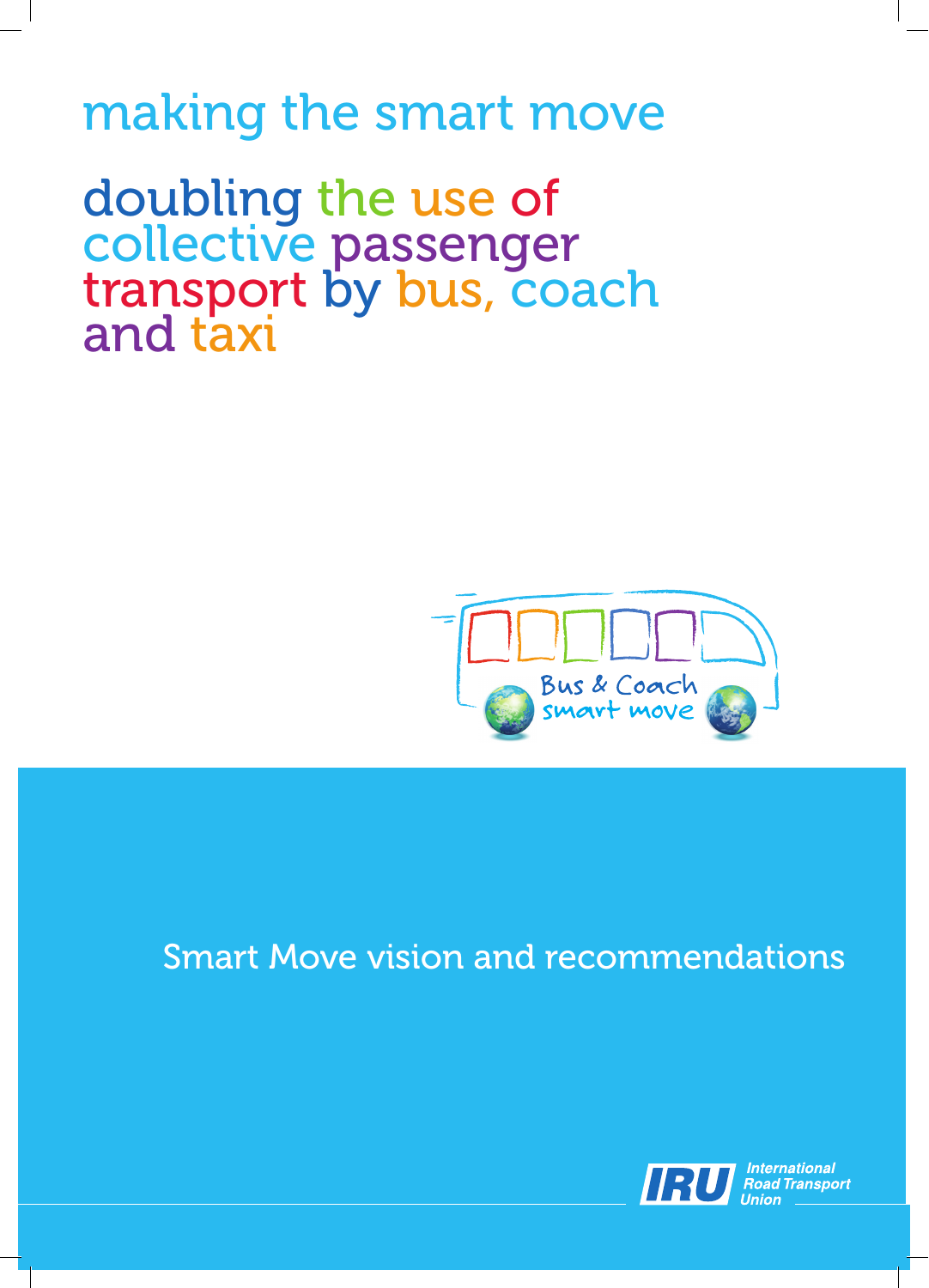# making the smart move

doubling the use of collective passenger transport by bus, coach and taxi



### Smart Move vision and recommendations

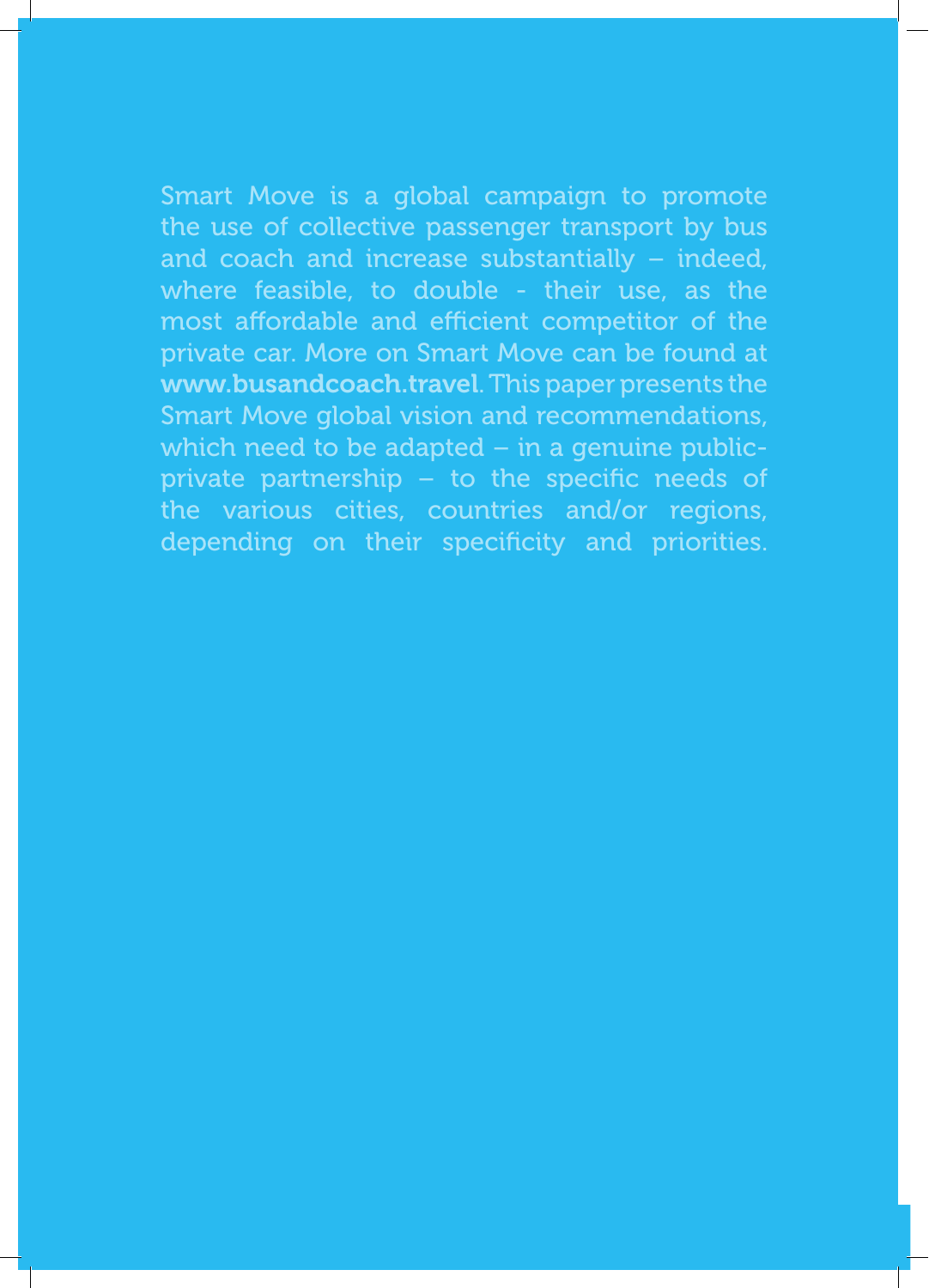### Smart Move is a global campaign to promote the use of collective passenger transport by bus and coach and increase substantially – indeed, where feasible, to double - their use, as the most affordable and efficient competitor of the private car. More on Smart Move can be found at www.busandcoach.travel. This paper presents the Smart Move global vision and recommendations, which need to be adapted – in a genuine publicprivate partnership – to the specific needs of the various cities, countries and/or regions,

depending on their specificity and priorities.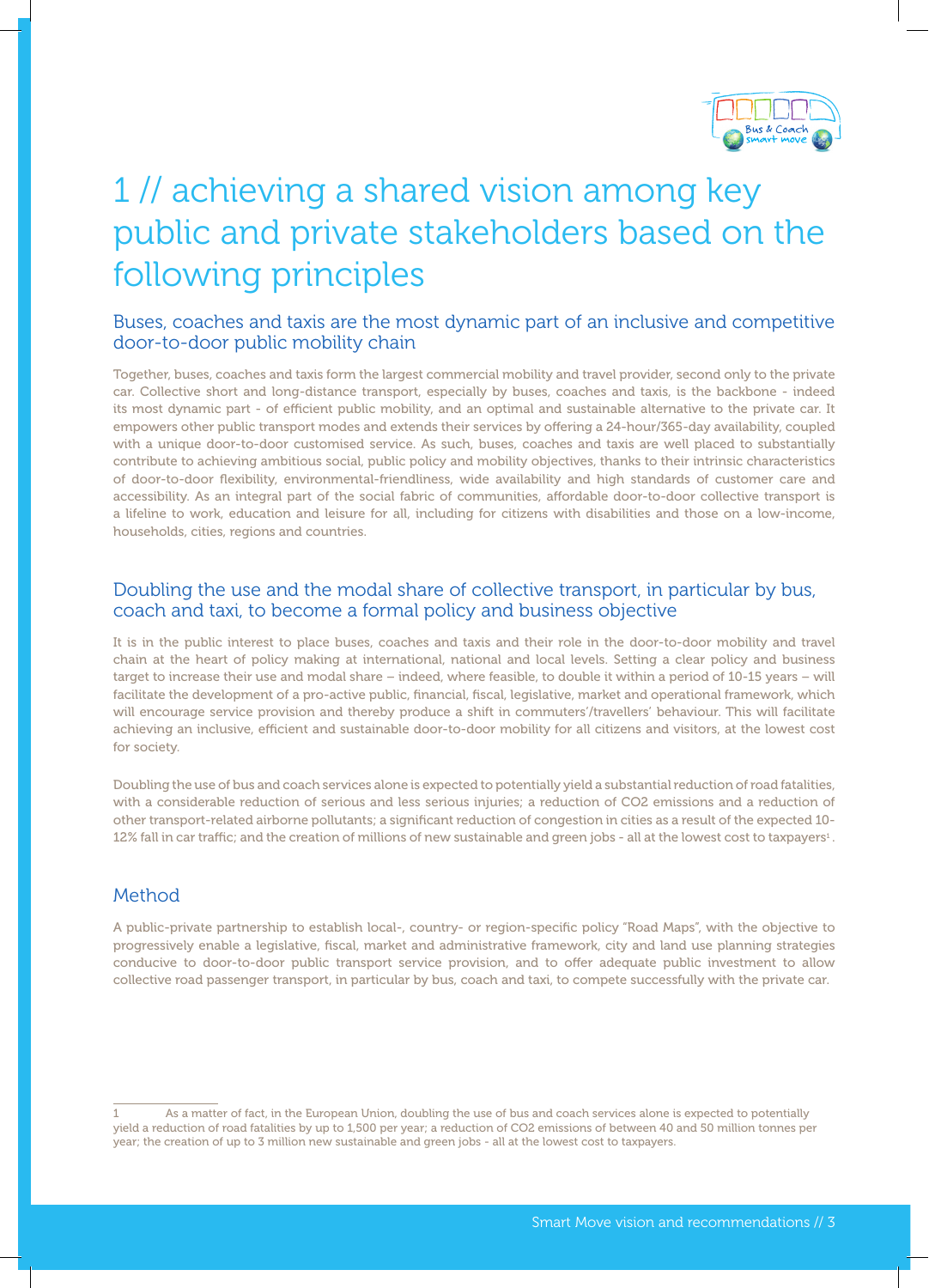

## 1 // achieving a shared vision among key public and private stakeholders based on the following principles

#### Buses, coaches and taxis are the most dynamic part of an inclusive and competitive door-to-door public mobility chain

Together, buses, coaches and taxis form the largest commercial mobility and travel provider, second only to the private car. Collective short and long-distance transport, especially by buses, coaches and taxis, is the backbone - indeed its most dynamic part - of efficient public mobility, and an optimal and sustainable alternative to the private car. It empowers other public transport modes and extends their services by offering a 24-hour/365-day availability, coupled with a unique door-to-door customised service. As such, buses, coaches and taxis are well placed to substantially contribute to achieving ambitious social, public policy and mobility objectives, thanks to their intrinsic characteristics of door-to-door flexibility, environmental-friendliness, wide availability and high standards of customer care and accessibility. As an integral part of the social fabric of communities, affordable door-to-door collective transport is a lifeline to work, education and leisure for all, including for citizens with disabilities and those on a low-income, households, cities, regions and countries.

#### Doubling the use and the modal share of collective transport, in particular by bus, coach and taxi, to become a formal policy and business objective

It is in the public interest to place buses, coaches and taxis and their role in the door-to-door mobility and travel chain at the heart of policy making at international, national and local levels. Setting a clear policy and business target to increase their use and modal share – indeed, where feasible, to double it within a period of 10-15 years – will facilitate the development of a pro-active public, financial, fiscal, legislative, market and operational framework, which will encourage service provision and thereby produce a shift in commuters'/travellers' behaviour. This will facilitate achieving an inclusive, efficient and sustainable door-to-door mobility for all citizens and visitors, at the lowest cost for society.

Doubling the use of bus and coach services alone is expected to potentially yield a substantial reduction of road fatalities, with a considerable reduction of serious and less serious injuries; a reduction of CO2 emissions and a reduction of other transport-related airborne pollutants; a significant reduction of congestion in cities as a result of the expected 10-  $12\%$  fall in car traffic; and the creation of millions of new sustainable and green jobs - all at the lowest cost to taxpayers $^1$ .

#### Method

A public-private partnership to establish local-, country- or region-specific policy "Road Maps", with the objective to progressively enable a legislative, fiscal, market and administrative framework, city and land use planning strategies conducive to door-to-door public transport service provision, and to offer adequate public investment to allow collective road passenger transport, in particular by bus, coach and taxi, to compete successfully with the private car.

As a matter of fact, in the European Union, doubling the use of bus and coach services alone is expected to potentially yield a reduction of road fatalities by up to 1,500 per year; a reduction of CO2 emissions of between 40 and 50 million tonnes per year; the creation of up to 3 million new sustainable and green jobs - all at the lowest cost to taxpayers.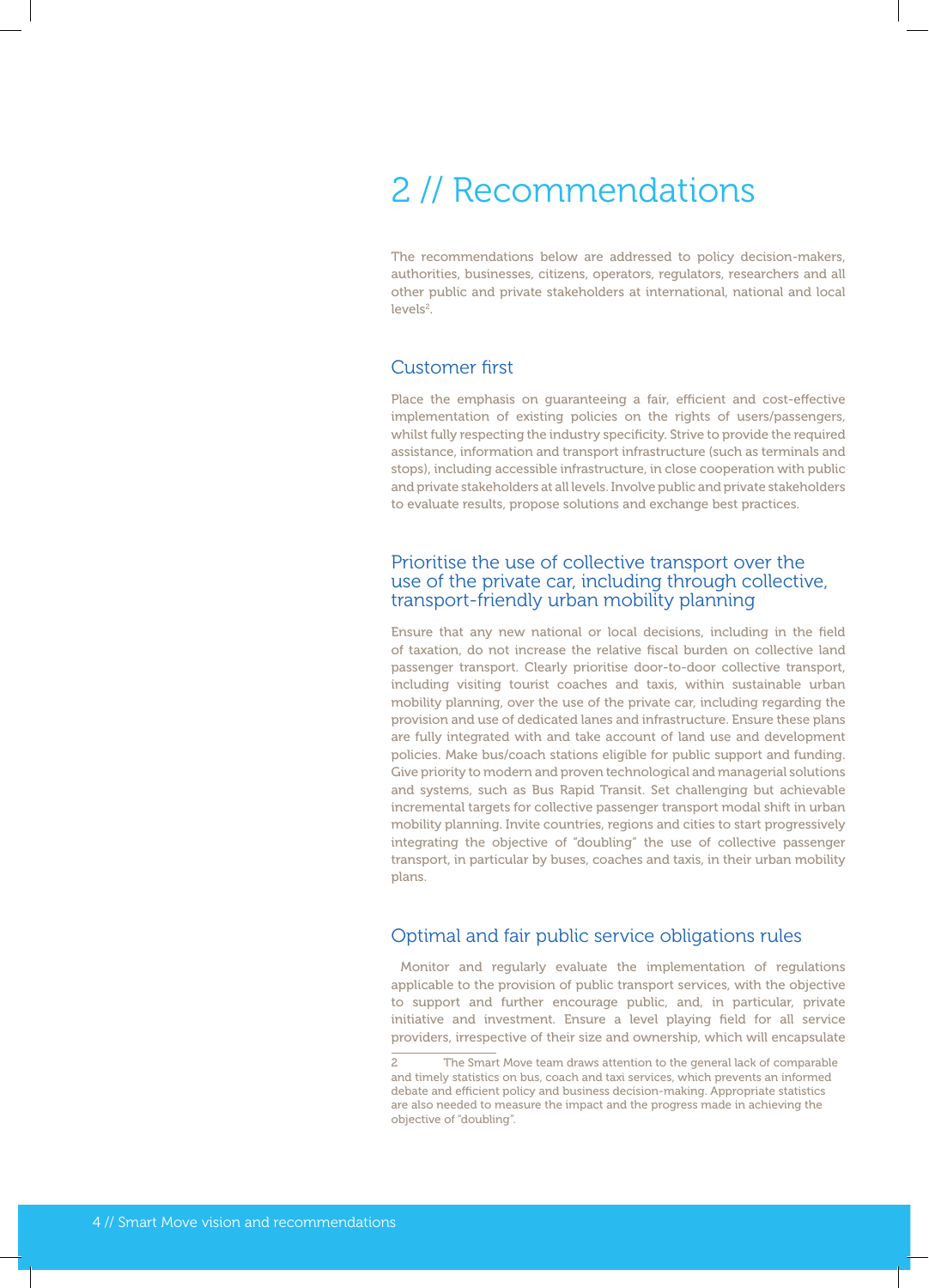### 2 // Recommendations

The recommendations below are addressed to policy decision-makers, authorities, businesses, citizens, operators, regulators, researchers and all other public and private stakeholders at international, national and local levels<sup>2</sup>.

#### Customer first

Place the emphasis on guaranteeing a fair, efficient and cost-effective implementation of existing policies on the rights of users/passengers, whilst fully respecting the industry specificity. Strive to provide the required assistance, information and transport infrastructure (such as terminals and stops), including accessible infrastructure, in close cooperation with public and private stakeholders at all levels. Involve public and private stakeholders to evaluate results, propose solutions and exchange best practices.

#### Prioritise the use of collective transport over the use of the private car, including through collective, transport-friendly urban mobility planning

Ensure that any new national or local decisions, including in the field of taxation, do not increase the relative fiscal burden on collective land passenger transport. Clearly prioritise door-to-door collective transport, including visiting tourist coaches and taxis, within sustainable urban mobility planning, over the use of the private car, including regarding the provision and use of dedicated lanes and infrastructure. Ensure these plans are fully integrated with and take account of land use and development policies. Make bus/coach stations eligible for public support and funding. Give priority to modern and proven technological and managerial solutions and systems, such as Bus Rapid Transit. Set challenging but achievable incremental targets for collective passenger transport modal shift in urban mobility planning. Invite countries, regions and cities to start progressively integrating the objective of "doubling" the use of collective passenger transport, in particular by buses, coaches and taxis, in their urban mobility plans.

#### Optimal and fair public service obligations rules

 Monitor and regularly evaluate the implementation of regulations applicable to the provision of public transport services, with the objective to support and further encourage public, and, in particular, private initiative and investment. Ensure a level playing field for all service providers, irrespective of their size and ownership, which will encapsulate

The Smart Move team draws attention to the general lack of comparable and timely statistics on bus, coach and taxi services, which prevents an informed debate and efficient policy and business decision-making. Appropriate statistics are also needed to measure the impact and the progress made in achieving the objective of "doubling".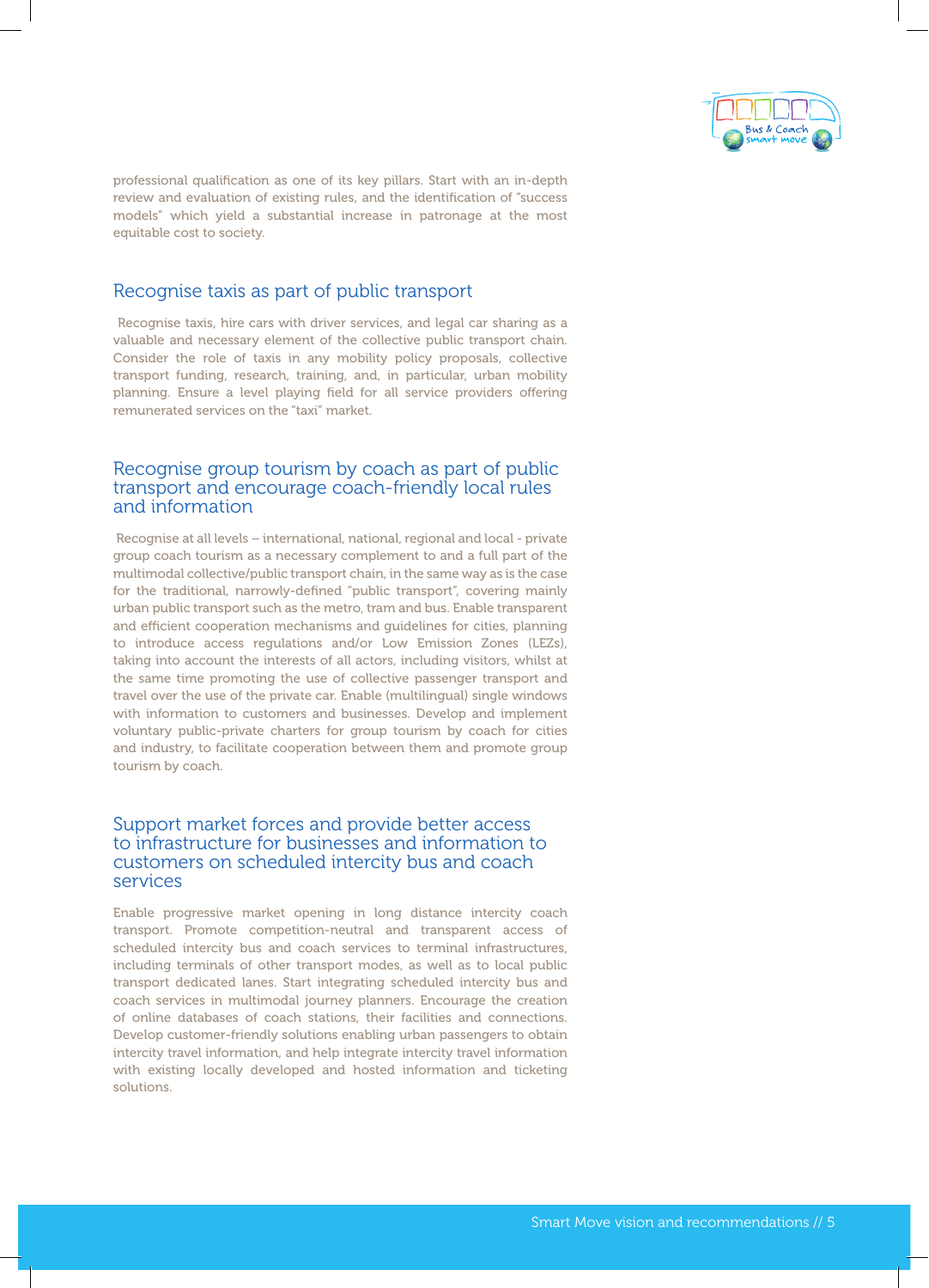

professional qualification as one of its key pillars. Start with an in-depth review and evaluation of existing rules, and the identification of "success models" which yield a substantial increase in patronage at the most equitable cost to society.

#### Recognise taxis as part of public transport

 Recognise taxis, hire cars with driver services, and legal car sharing as a valuable and necessary element of the collective public transport chain. Consider the role of taxis in any mobility policy proposals, collective transport funding, research, training, and, in particular, urban mobility planning. Ensure a level playing field for all service providers offering remunerated services on the "taxi" market.

#### Recognise group tourism by coach as part of public transport and encourage coach-friendly local rules and information

 Recognise at all levels – international, national, regional and local - private group coach tourism as a necessary complement to and a full part of the multimodal collective/public transport chain, in the same way as is the case for the traditional, narrowly-defined "public transport", covering mainly urban public transport such as the metro, tram and bus. Enable transparent and efficient cooperation mechanisms and guidelines for cities, planning to introduce access regulations and/or Low Emission Zones (LEZs), taking into account the interests of all actors, including visitors, whilst at the same time promoting the use of collective passenger transport and travel over the use of the private car. Enable (multilingual) single windows with information to customers and businesses. Develop and implement voluntary public-private charters for group tourism by coach for cities and industry, to facilitate cooperation between them and promote group tourism by coach.

#### Support market forces and provide better access to infrastructure for businesses and information to customers on scheduled intercity bus and coach services

Enable progressive market opening in long distance intercity coach transport. Promote competition-neutral and transparent access of scheduled intercity bus and coach services to terminal infrastructures, including terminals of other transport modes, as well as to local public transport dedicated lanes. Start integrating scheduled intercity bus and coach services in multimodal journey planners. Encourage the creation of online databases of coach stations, their facilities and connections. Develop customer-friendly solutions enabling urban passengers to obtain intercity travel information, and help integrate intercity travel information with existing locally developed and hosted information and ticketing solutions.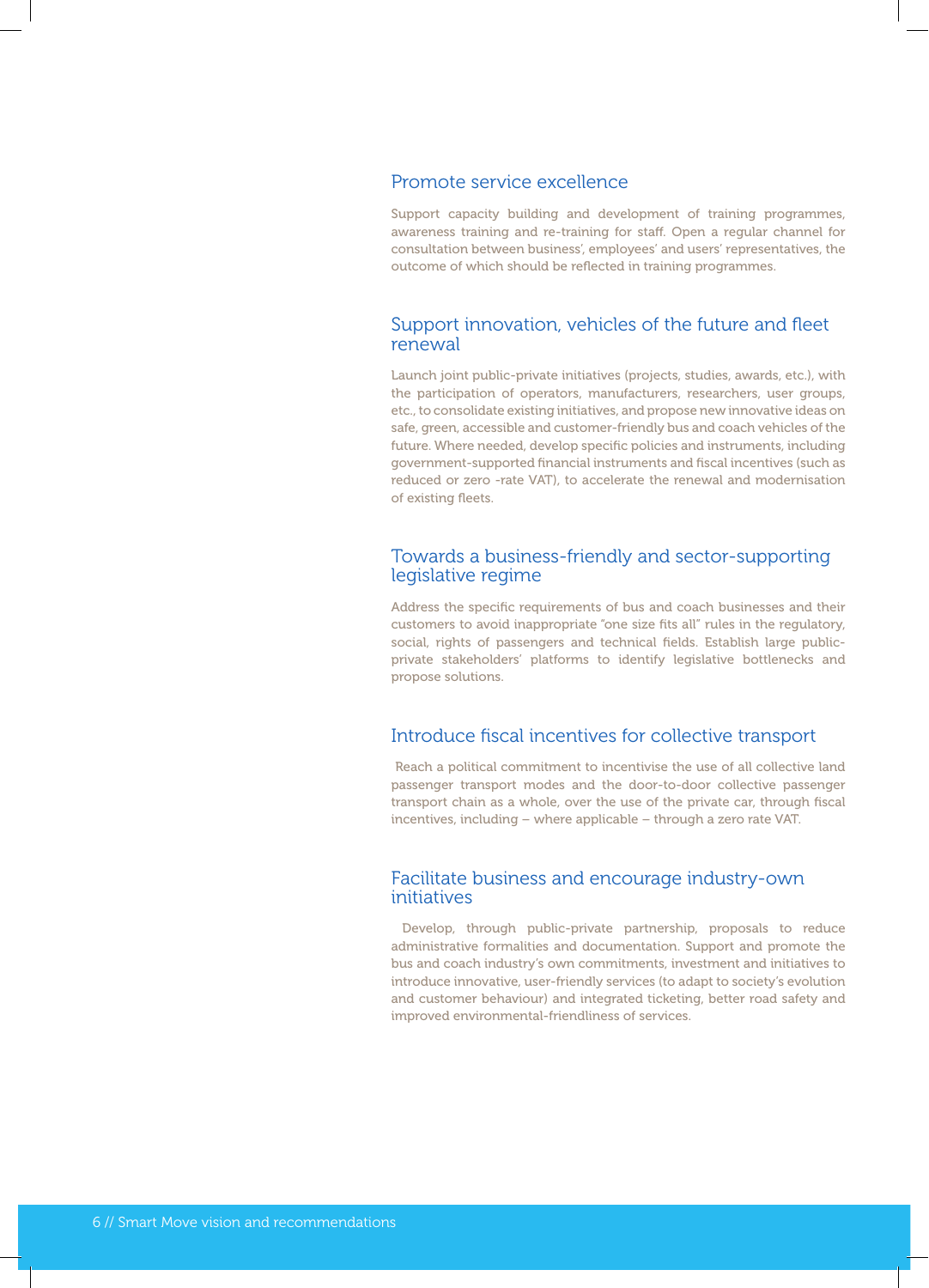#### Promote service excellence

Support capacity building and development of training programmes, awareness training and re-training for staff. Open a regular channel for consultation between business', employees' and users' representatives, the outcome of which should be reflected in training programmes.

#### Support innovation, vehicles of the future and fleet renewal

Launch joint public-private initiatives (projects, studies, awards, etc.), with the participation of operators, manufacturers, researchers, user groups, etc., to consolidate existing initiatives, and propose new innovative ideas on safe, green, accessible and customer-friendly bus and coach vehicles of the future. Where needed, develop specific policies and instruments, including government-supported financial instruments and fiscal incentives (such as reduced or zero -rate VAT), to accelerate the renewal and modernisation of existing fleets.

#### Towards a business-friendly and sector-supporting legislative regime

Address the specific requirements of bus and coach businesses and their customers to avoid inappropriate "one size fits all" rules in the regulatory, social, rights of passengers and technical fields. Establish large publicprivate stakeholders' platforms to identify legislative bottlenecks and propose solutions.

#### Introduce fiscal incentives for collective transport

 Reach a political commitment to incentivise the use of all collective land passenger transport modes and the door-to-door collective passenger transport chain as a whole, over the use of the private car, through fiscal incentives, including – where applicable – through a zero rate VAT.

#### Facilitate business and encourage industry-own initiatives

 Develop, through public-private partnership, proposals to reduce administrative formalities and documentation. Support and promote the bus and coach industry's own commitments, investment and initiatives to introduce innovative, user-friendly services (to adapt to society's evolution and customer behaviour) and integrated ticketing, better road safety and improved environmental-friendliness of services.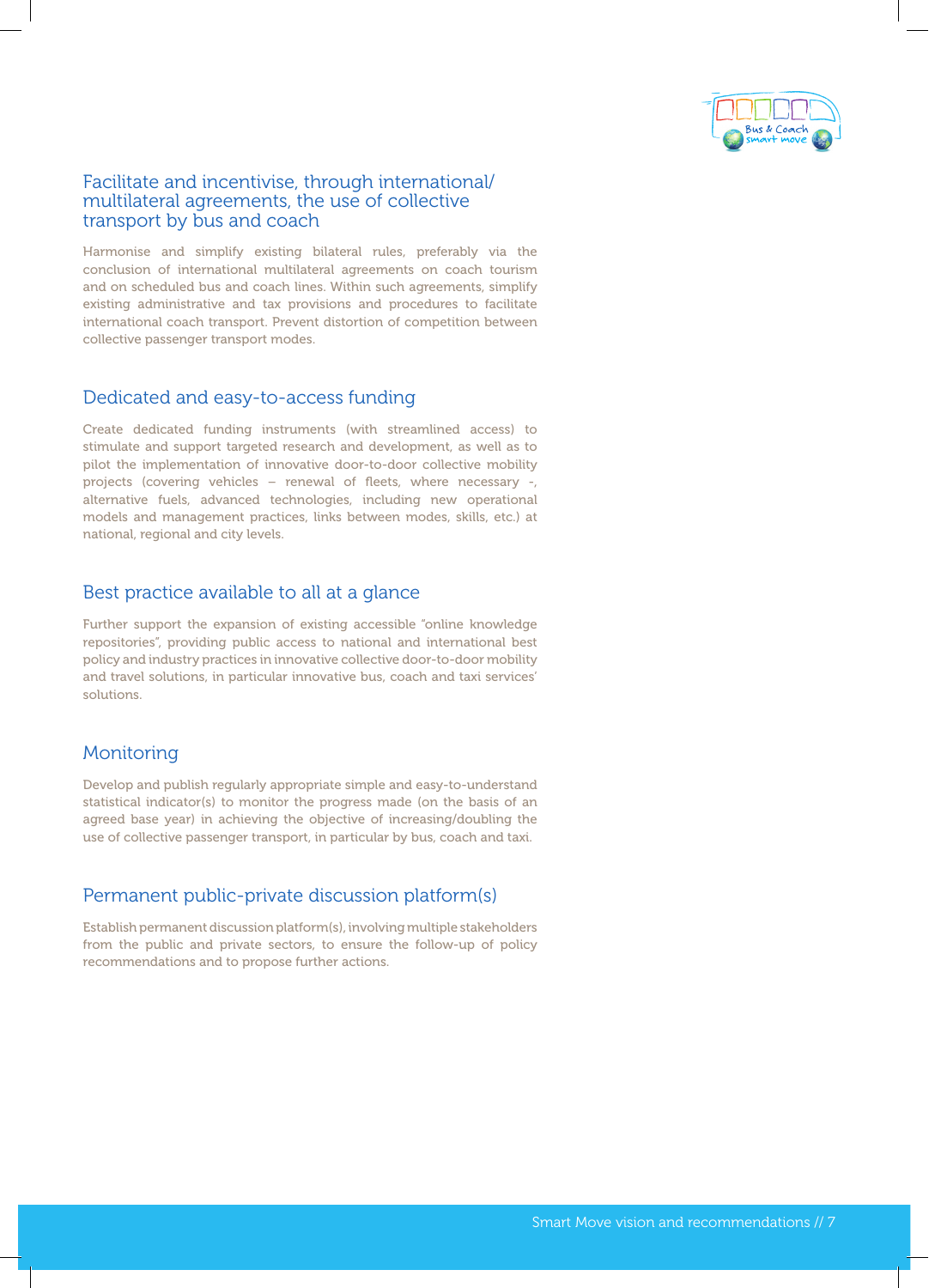

#### Facilitate and incentivise, through international/ multilateral agreements, the use of collective transport by bus and coach

Harmonise and simplify existing bilateral rules, preferably via the conclusion of international multilateral agreements on coach tourism and on scheduled bus and coach lines. Within such agreements, simplify existing administrative and tax provisions and procedures to facilitate international coach transport. Prevent distortion of competition between collective passenger transport modes.

#### Dedicated and easy-to-access funding

Create dedicated funding instruments (with streamlined access) to stimulate and support targeted research and development, as well as to pilot the implementation of innovative door-to-door collective mobility projects (covering vehicles – renewal of fleets, where necessary -, alternative fuels, advanced technologies, including new operational models and management practices, links between modes, skills, etc.) at national, regional and city levels.

#### Best practice available to all at a glance

Further support the expansion of existing accessible "online knowledge repositories", providing public access to national and international best policy and industry practices in innovative collective door-to-door mobility and travel solutions, in particular innovative bus, coach and taxi services' solutions.

#### **Monitoring**

Develop and publish regularly appropriate simple and easy-to-understand statistical indicator(s) to monitor the progress made (on the basis of an agreed base year) in achieving the objective of increasing/doubling the use of collective passenger transport, in particular by bus, coach and taxi.

#### Permanent public-private discussion platform(s)

Establish permanent discussion platform(s), involving multiple stakeholders from the public and private sectors, to ensure the follow-up of policy recommendations and to propose further actions.